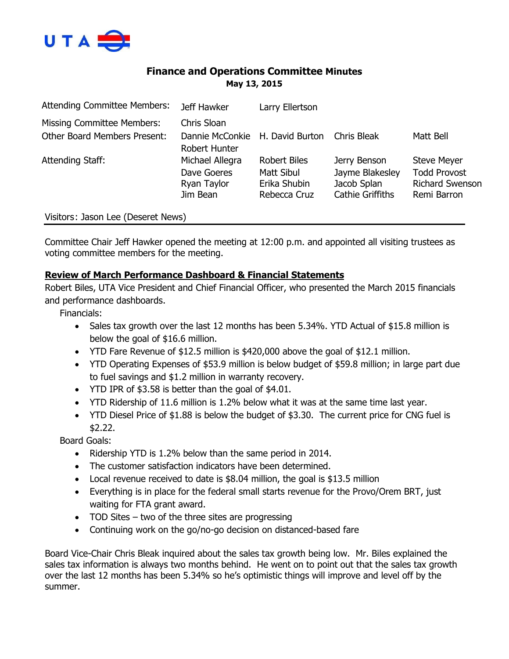

## **Finance and Operations Committee Minutes May 13, 2015**

| <b>Attending Committee Members:</b> | Jeff Hawker                                               | Larry Ellertson                                                   |                                                                           |                                                                                    |
|-------------------------------------|-----------------------------------------------------------|-------------------------------------------------------------------|---------------------------------------------------------------------------|------------------------------------------------------------------------------------|
| Missing Committee Members:          | Chris Sloan                                               |                                                                   |                                                                           |                                                                                    |
| <b>Other Board Members Present:</b> | Dannie McConkie H. David Burton<br>Robert Hunter          |                                                                   | Chris Bleak                                                               | Matt Bell                                                                          |
| Attending Staff:                    | Michael Allegra<br>Dave Goeres<br>Ryan Taylor<br>Jim Bean | <b>Robert Biles</b><br>Matt Sibul<br>Erika Shubin<br>Rebecca Cruz | Jerry Benson<br>Jayme Blakesley<br>Jacob Splan<br><b>Cathie Griffiths</b> | <b>Steve Meyer</b><br><b>Todd Provost</b><br><b>Richard Swenson</b><br>Remi Barron |
| Visitors: Jason Lee (Deseret News)  |                                                           |                                                                   |                                                                           |                                                                                    |

Committee Chair Jeff Hawker opened the meeting at 12:00 p.m. and appointed all visiting trustees as voting committee members for the meeting.

## **Review of March Performance Dashboard & Financial Statements**

Robert Biles, UTA Vice President and Chief Financial Officer, who presented the March 2015 financials and performance dashboards.

Financials:

- Sales tax growth over the last 12 months has been 5.34%. YTD Actual of \$15.8 million is below the goal of \$16.6 million.
- YTD Fare Revenue of \$12.5 million is \$420,000 above the goal of \$12.1 million.
- YTD Operating Expenses of \$53.9 million is below budget of \$59.8 million; in large part due to fuel savings and \$1.2 million in warranty recovery.
- YTD IPR of \$3.58 is better than the goal of \$4.01.
- YTD Ridership of 11.6 million is 1.2% below what it was at the same time last year.
- YTD Diesel Price of \$1.88 is below the budget of \$3.30. The current price for CNG fuel is \$2.22.

Board Goals:

- Ridership YTD is 1.2% below than the same period in 2014.
- The customer satisfaction indicators have been determined.
- Local revenue received to date is \$8.04 million, the goal is \$13.5 million
- Everything is in place for the federal small starts revenue for the Provo/Orem BRT, just waiting for FTA grant award.
- TOD Sites two of the three sites are progressing
- Continuing work on the go/no-go decision on distanced-based fare

Board Vice-Chair Chris Bleak inquired about the sales tax growth being low. Mr. Biles explained the sales tax information is always two months behind. He went on to point out that the sales tax growth over the last 12 months has been 5.34% so he's optimistic things will improve and level off by the summer.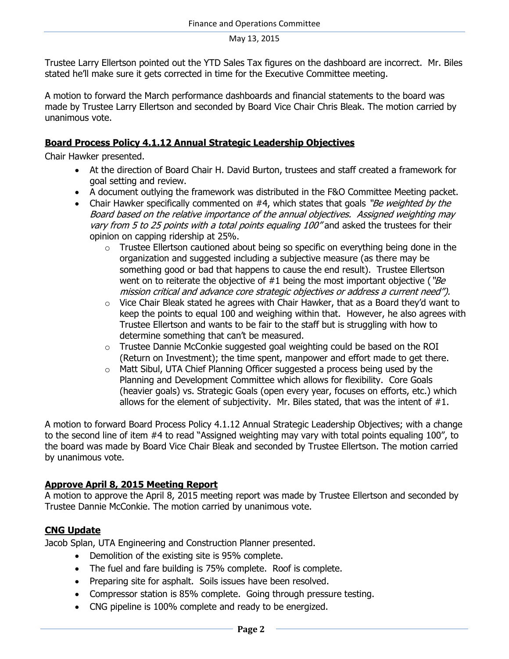Trustee Larry Ellertson pointed out the YTD Sales Tax figures on the dashboard are incorrect. Mr. Biles stated he'll make sure it gets corrected in time for the Executive Committee meeting.

A motion to forward the March performance dashboards and financial statements to the board was made by Trustee Larry Ellertson and seconded by Board Vice Chair Chris Bleak. The motion carried by unanimous vote.

### **Board Process Policy 4.1.12 Annual Strategic Leadership Objectives**

Chair Hawker presented.

- At the direction of Board Chair H. David Burton, trustees and staff created a framework for goal setting and review.
- A document outlying the framework was distributed in the F&O Committee Meeting packet.
- Chair Hawker specifically commented on  $#4$ , which states that goals "Be weighted by the Board based on the relative importance of the annual objectives. Assigned weighting may vary from 5 to 25 points with a total points equaling 100" and asked the trustees for their opinion on capping ridership at 25%.
	- o Trustee Ellertson cautioned about being so specific on everything being done in the organization and suggested including a subjective measure (as there may be something good or bad that happens to cause the end result). Trustee Ellertson went on to reiterate the objective of  $#1$  being the most important objective ("Be mission critical and advance core strategic objectives or address a current need").
	- $\circ$  Vice Chair Bleak stated he agrees with Chair Hawker, that as a Board they'd want to keep the points to equal 100 and weighing within that. However, he also agrees with Trustee Ellertson and wants to be fair to the staff but is struggling with how to determine something that can't be measured.
	- $\circ$  Trustee Dannie McConkie suggested goal weighting could be based on the ROI (Return on Investment); the time spent, manpower and effort made to get there.
	- o Matt Sibul, UTA Chief Planning Officer suggested a process being used by the Planning and Development Committee which allows for flexibility. Core Goals (heavier goals) vs. Strategic Goals (open every year, focuses on efforts, etc.) which allows for the element of subjectivity. Mr. Biles stated, that was the intent of #1.

A motion to forward Board Process Policy 4.1.12 Annual Strategic Leadership Objectives; with a change to the second line of item #4 to read "Assigned weighting may vary with total points equaling 100", to the board was made by Board Vice Chair Bleak and seconded by Trustee Ellertson. The motion carried by unanimous vote.

### **Approve April 8, 2015 Meeting Report**

A motion to approve the April 8, 2015 meeting report was made by Trustee Ellertson and seconded by Trustee Dannie McConkie. The motion carried by unanimous vote.

## **CNG Update**

Jacob Splan, UTA Engineering and Construction Planner presented.

- Demolition of the existing site is 95% complete.
- The fuel and fare building is 75% complete. Roof is complete.
- Preparing site for asphalt. Soils issues have been resolved.
- Compressor station is 85% complete. Going through pressure testing.
- CNG pipeline is 100% complete and ready to be energized.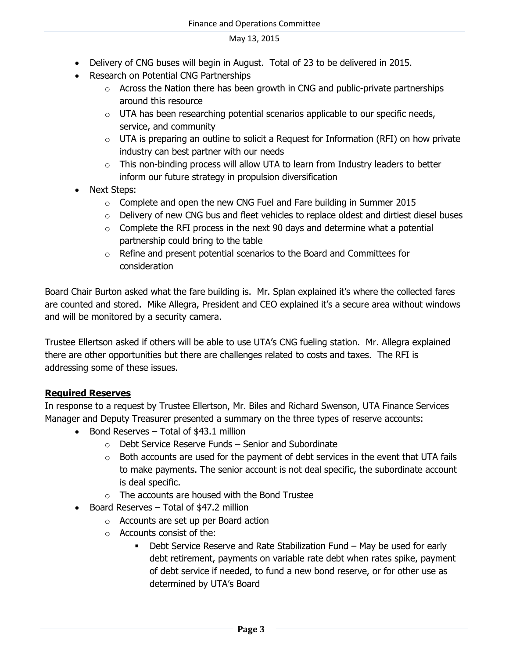- Delivery of CNG buses will begin in August. Total of 23 to be delivered in 2015.
- Research on Potential CNG Partnerships
	- $\circ$  Across the Nation there has been growth in CNG and public-private partnerships around this resource
	- $\circ$  UTA has been researching potential scenarios applicable to our specific needs, service, and community
	- $\circ$  UTA is preparing an outline to solicit a Request for Information (RFI) on how private industry can best partner with our needs
	- $\circ$  This non-binding process will allow UTA to learn from Industry leaders to better inform our future strategy in propulsion diversification
- Next Steps:
	- $\circ$  Complete and open the new CNG Fuel and Fare building in Summer 2015
	- o Delivery of new CNG bus and fleet vehicles to replace oldest and dirtiest diesel buses
	- $\circ$  Complete the RFI process in the next 90 days and determine what a potential partnership could bring to the table
	- o Refine and present potential scenarios to the Board and Committees for consideration

Board Chair Burton asked what the fare building is. Mr. Splan explained it's where the collected fares are counted and stored. Mike Allegra, President and CEO explained it's a secure area without windows and will be monitored by a security camera.

Trustee Ellertson asked if others will be able to use UTA's CNG fueling station. Mr. Allegra explained there are other opportunities but there are challenges related to costs and taxes. The RFI is addressing some of these issues.

## **Required Reserves**

In response to a request by Trustee Ellertson, Mr. Biles and Richard Swenson, UTA Finance Services Manager and Deputy Treasurer presented a summary on the three types of reserve accounts:

- $\bullet$  Bond Reserves Total of \$43.1 million
	- o Debt Service Reserve Funds Senior and Subordinate
	- $\circ$  Both accounts are used for the payment of debt services in the event that UTA fails to make payments. The senior account is not deal specific, the subordinate account is deal specific.
	- $\circ$  The accounts are housed with the Bond Trustee
- Board Reserves Total of \$47.2 million
	- o Accounts are set up per Board action
	- o Accounts consist of the:
		- Debt Service Reserve and Rate Stabilization Fund May be used for early debt retirement, payments on variable rate debt when rates spike, payment of debt service if needed, to fund a new bond reserve, or for other use as determined by UTA's Board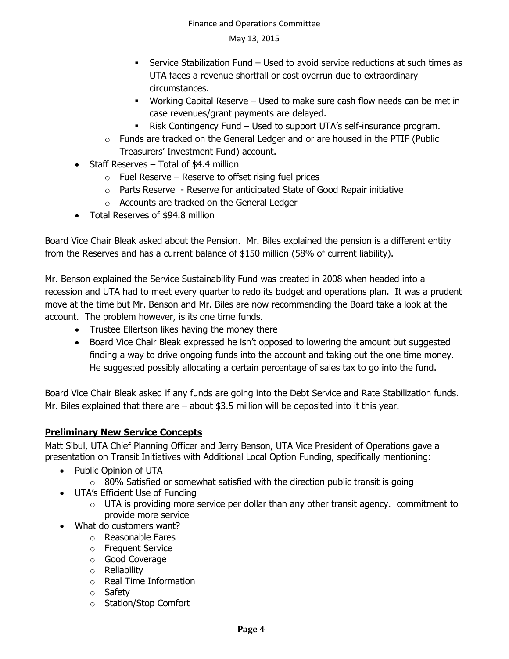- Service Stabilization Fund Used to avoid service reductions at such times as UTA faces a revenue shortfall or cost overrun due to extraordinary circumstances.
- Working Capital Reserve Used to make sure cash flow needs can be met in case revenues/grant payments are delayed.
- Risk Contingency Fund Used to support UTA's self-insurance program.
- $\circ$  Funds are tracked on the General Ledger and or are housed in the PTIF (Public Treasurers' Investment Fund) account.
- Staff Reserves Total of \$4.4 million
	- $\circ$  Fuel Reserve Reserve to offset rising fuel prices
	- o Parts Reserve Reserve for anticipated State of Good Repair initiative
	- o Accounts are tracked on the General Ledger
- Total Reserves of \$94.8 million

Board Vice Chair Bleak asked about the Pension. Mr. Biles explained the pension is a different entity from the Reserves and has a current balance of \$150 million (58% of current liability).

Mr. Benson explained the Service Sustainability Fund was created in 2008 when headed into a recession and UTA had to meet every quarter to redo its budget and operations plan. It was a prudent move at the time but Mr. Benson and Mr. Biles are now recommending the Board take a look at the account. The problem however, is its one time funds.

- Trustee Ellertson likes having the money there
- Board Vice Chair Bleak expressed he isn't opposed to lowering the amount but suggested finding a way to drive ongoing funds into the account and taking out the one time money. He suggested possibly allocating a certain percentage of sales tax to go into the fund.

Board Vice Chair Bleak asked if any funds are going into the Debt Service and Rate Stabilization funds. Mr. Biles explained that there are – about \$3.5 million will be deposited into it this year.

## **Preliminary New Service Concepts**

Matt Sibul, UTA Chief Planning Officer and Jerry Benson, UTA Vice President of Operations gave a presentation on Transit Initiatives with Additional Local Option Funding, specifically mentioning:

- Public Opinion of UTA
	- $\circ$  80% Satisfied or somewhat satisfied with the direction public transit is going
- UTA's Efficient Use of Funding
	- $\circ$  UTA is providing more service per dollar than any other transit agency. commitment to provide more service
- What do customers want?
	- o Reasonable Fares
	- o Frequent Service
	- o Good Coverage
	- o Reliability
	- o Real Time Information
	- o Safety
	- o Station/Stop Comfort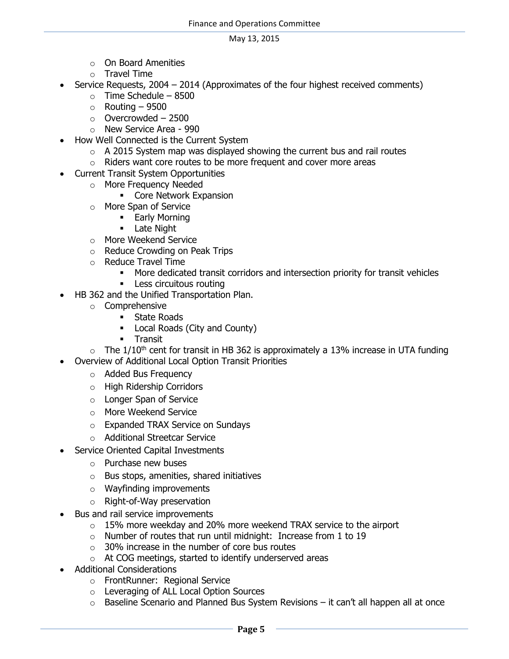- o On Board Amenities
- o Travel Time
- Service Requests, 2004 2014 (Approximates of the four highest received comments)
	- $\circ$  Time Schedule 8500
	- $\circ$  Routing 9500
	- $\circ$  Overcrowded 2500
	- o New Service Area 990
- How Well Connected is the Current System
	- $\circ$  A 2015 System map was displayed showing the current bus and rail routes
	- o Riders want core routes to be more frequent and cover more areas
- Current Transit System Opportunities
	- o More Frequency Needed
		- **Core Network Expansion**
	- o More Span of Service
		- **Early Morning**
		- **-** Late Night
	- o More Weekend Service
	- o Reduce Crowding on Peak Trips
	- o Reduce Travel Time
		- More dedicated transit corridors and intersection priority for transit vehicles
			- **Less circuitous routing**
- HB 362 and the Unified Transportation Plan.
	- o Comprehensive
		- **State Roads**
		- Local Roads (City and County)
		- **Transit**

 $\circ$  The 1/10<sup>th</sup> cent for transit in HB 362 is approximately a 13% increase in UTA funding

- Overview of Additional Local Option Transit Priorities
	- o Added Bus Frequency
	- o High Ridership Corridors
	- o Longer Span of Service
	- o More Weekend Service
	- o Expanded TRAX Service on Sundays
	- o Additional Streetcar Service
- Service Oriented Capital Investments
	- o Purchase new buses
	- o Bus stops, amenities, shared initiatives
	- o Wayfinding improvements
	- o Right-of-Way preservation
- Bus and rail service improvements
	- $\circ$  15% more weekday and 20% more weekend TRAX service to the airport
	- o Number of routes that run until midnight: Increase from 1 to 19
	- $\circ$  30% increase in the number of core bus routes
	- o At COG meetings, started to identify underserved areas
- Additional Considerations
	- o FrontRunner: Regional Service
	- o Leveraging of ALL Local Option Sources
	- $\circ$  Baseline Scenario and Planned Bus System Revisions it can't all happen all at once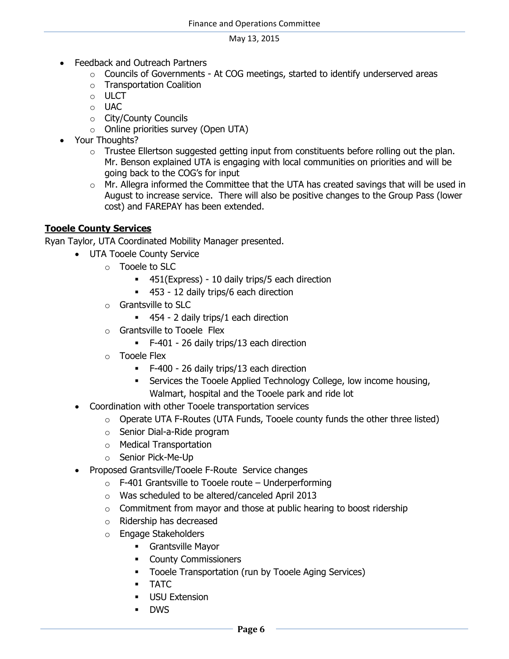- Feedback and Outreach Partners
	- $\circ$  Councils of Governments At COG meetings, started to identify underserved areas
	- o Transportation Coalition
	- o ULCT
	- o UAC
	- o City/County Councils
	- o Online priorities survey (Open UTA)
- Your Thoughts?
	- o Trustee Ellertson suggested getting input from constituents before rolling out the plan. Mr. Benson explained UTA is engaging with local communities on priorities and will be going back to the COG's for input
	- $\circ$  Mr. Allegra informed the Committee that the UTA has created savings that will be used in August to increase service. There will also be positive changes to the Group Pass (lower cost) and FAREPAY has been extended.

## **Tooele County Services**

Ryan Taylor, UTA Coordinated Mobility Manager presented.

- UTA Tooele County Service
	- o Tooele to SLC
		- 451(Express) 10 daily trips/5 each direction
		- 453 12 daily trips/6 each direction
	- o Grantsville to SLC
		- 454 2 daily trips/1 each direction
	- o Grantsville to Tooele Flex
		- F-401 26 daily trips/13 each direction
	- o Tooele Flex
		- F-400 26 daily trips/13 each direction
		- Services the Tooele Applied Technology College, low income housing, Walmart, hospital and the Tooele park and ride lot
- Coordination with other Tooele transportation services
	- $\circ$  Operate UTA F-Routes (UTA Funds, Tooele county funds the other three listed)
	- o Senior Dial-a-Ride program
	- o Medical Transportation
	- o Senior Pick-Me-Up
- Proposed Grantsville/Tooele F-Route Service changes
	- $\circ$  F-401 Grantsville to Tooele route Underperforming
	- o Was scheduled to be altered/canceled April 2013
	- $\circ$  Commitment from mayor and those at public hearing to boost ridership
	- o Ridership has decreased
	- o Engage Stakeholders
		- Grantsville Mayor
		- **•** County Commissioners
		- **Tooele Transportation (run by Tooele Aging Services)**
		- **TATC**
		- USU Extension
		- DWS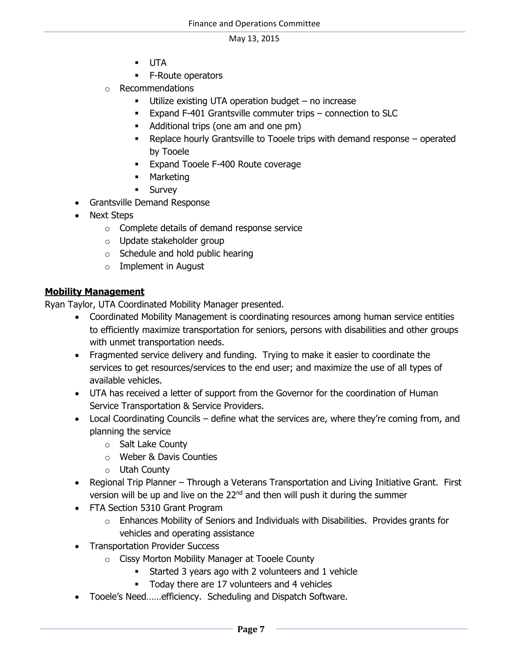- UTA
- **F-Route operators**
- o Recommendations
	- Utilize existing UTA operation budget no increase
	- Expand F-401 Grantsville commuter trips connection to SLC
	- Additional trips (one am and one pm)
	- Replace hourly Grantsville to Tooele trips with demand response operated by Tooele
	- **Expand Tooele F-400 Route coverage**
	- **-** Marketing
	- **Survey**
- Grantsville Demand Response
- Next Steps
	- o Complete details of demand response service
	- o Update stakeholder group
	- o Schedule and hold public hearing
	- o Implement in August

## **Mobility Management**

Ryan Taylor, UTA Coordinated Mobility Manager presented.

- Coordinated Mobility Management is coordinating resources among human service entities to efficiently maximize transportation for seniors, persons with disabilities and other groups with unmet transportation needs.
- Fragmented service delivery and funding. Trying to make it easier to coordinate the services to get resources/services to the end user; and maximize the use of all types of available vehicles.
- UTA has received a letter of support from the Governor for the coordination of Human Service Transportation & Service Providers.
- Local Coordinating Councils define what the services are, where they're coming from, and planning the service
	- o Salt Lake County
	- o Weber & Davis Counties
	- o Utah County
- Regional Trip Planner Through a Veterans Transportation and Living Initiative Grant. First version will be up and live on the 22<sup>nd</sup> and then will push it during the summer
- FTA Section 5310 Grant Program
	- $\circ$  Enhances Mobility of Seniors and Individuals with Disabilities. Provides grants for vehicles and operating assistance
- Transportation Provider Success
	- o Cissy Morton Mobility Manager at Tooele County
		- **Started 3 years ago with 2 volunteers and 1 vehicle**
		- Today there are 17 volunteers and 4 vehicles
- Tooele's Need……efficiency. Scheduling and Dispatch Software.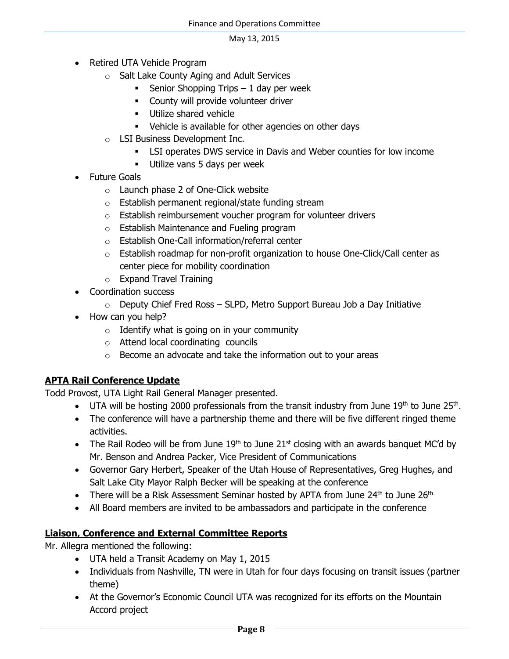- Retired UTA Vehicle Program
	- o Salt Lake County Aging and Adult Services
		- Senior Shopping Trips  $-1$  day per week
		- **EXECOUNTY WILL PROVIDE VOLUTE VALUATION**
		- **Utilize shared vehicle**
		- Vehicle is available for other agencies on other days
	- o LSI Business Development Inc.
		- LSI operates DWS service in Davis and Weber counties for low income
		- Utilize vans 5 days per week
- Future Goals
	- o Launch phase 2 of One-Click website
	- o Establish permanent regional/state funding stream
	- $\circ$  Establish reimbursement voucher program for volunteer drivers
	- o Establish Maintenance and Fueling program
	- o Establish One-Call information/referral center
	- $\circ$  Establish roadmap for non-profit organization to house One-Click/Call center as center piece for mobility coordination
	- o Expand Travel Training
- Coordination success
	- $\circ$  Deputy Chief Fred Ross SLPD, Metro Support Bureau Job a Day Initiative
- How can you help?
	- $\circ$  Identify what is going on in your community
	- o Attend local coordinating councils
	- o Become an advocate and take the information out to your areas

# **APTA Rail Conference Update**

Todd Provost, UTA Light Rail General Manager presented.

- UTA will be hosting 2000 professionals from the transit industry from June  $19<sup>th</sup>$  to June 25<sup>th</sup>.
- The conference will have a partnership theme and there will be five different ringed theme activities.
- The Rail Rodeo will be from June  $19<sup>th</sup>$  to June  $21<sup>st</sup>$  closing with an awards banquet MC'd by Mr. Benson and Andrea Packer, Vice President of Communications
- Governor Gary Herbert, Speaker of the Utah House of Representatives, Greg Hughes, and Salt Lake City Mayor Ralph Becker will be speaking at the conference
- There will be a Risk Assessment Seminar hosted by APTA from June  $24<sup>th</sup>$  to June  $26<sup>th</sup>$
- All Board members are invited to be ambassadors and participate in the conference

# **Liaison, Conference and External Committee Reports**

Mr. Allegra mentioned the following:

- UTA held a Transit Academy on May 1, 2015
- Individuals from Nashville, TN were in Utah for four days focusing on transit issues (partner theme)
- At the Governor's Economic Council UTA was recognized for its efforts on the Mountain Accord project